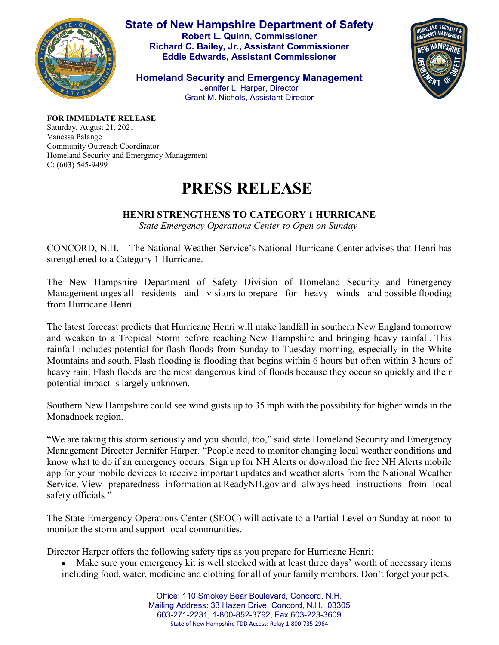

**State of New Hampshire Department of Safety Robert L. Quinn, Commissioner Richard C. Bailey, Jr., Assistant Commissioner Eddie Edwards, Assistant Commissioner**

HOMELAND SECURIT

**Homeland Security and Emergency Management** Jennifer L. Harper, Director Grant M. Nichols, Assistant Director

**FOR IMMEDIATE RELEASE**

Saturday, August 21, 2021 Vanessa Palange Community Outreach Coordinator Homeland Security and Emergency Management C: (603) 545-9499

## **PRESS RELEASE**

## **HENRI STRENGTHENS TO CATEGORY 1 HURRICANE**

*State Emergency Operations Center to Open on Sunday*

CONCORD, N.H. – The National Weather Service's National Hurricane Center advises that Henri has strengthened to a Category 1 Hurricane.

The New Hampshire Department of Safety Division of Homeland Security and Emergency Management urges all residents and visitors to prepare for heavy winds and possible flooding from Hurricane Henri.

The latest forecast predicts that Hurricane Henri will make landfall in southern New England tomorrow and weaken to a Tropical Storm before reaching New Hampshire and bringing heavy rainfall. This rainfall includes potential for flash floods from Sunday to Tuesday morning, especially in the White Mountains and south. Flash flooding is flooding that begins within 6 hours but often within 3 hours of heavy rain. Flash floods are the most dangerous kind of floods because they occur so quickly and their potential impact is largely unknown.

Southern New Hampshire could see wind gusts up to 35 mph with the possibility for higher winds in the Monadnock region.

"We are taking this storm seriously and you should, too," said state Homeland Security and Emergency Management Director Jennifer Harper. "People need to monitor changing local weather conditions and know what to do if an emergency occurs. Sign up for NH Alerts or download the free NH Alerts mobile app for your mobile devices to receive important updates and weather alerts from the National Weather Service. View preparedness information at ReadyNH.gov and always heed instructions from local safety officials."

The State Emergency Operations Center (SEOC) will activate to a Partial Level on Sunday at noon to monitor the storm and support local communities.

Director Harper offers the following safety tips as you prepare for Hurricane Henri:

- Make sure your emergency kit is well stocked with at least three days' worth of necessary items including food, water, medicine and clothing for all of your family members. Don't forget your pets.
	- Office: 110 Smokey Bear Boulevard, Concord, N.H. Mailing Address: 33 Hazen Drive, Concord, N.H. 03305 603-271-2231, 1-800-852-3792, Fax 603-223-3609 State of New Hampshire TDD Access: Relay 1-800-735-2964